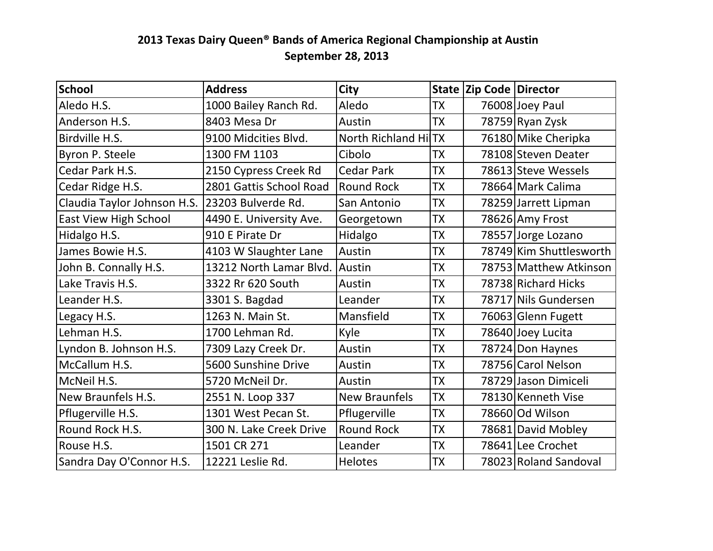## 2013 Texas Dairy Queen<sup>®</sup> Bands of America Regional Championship at Austin **September 28, 2013**

| <b>School</b>                | <b>Address</b>          | <b>City</b>          |           | <b>State Zip Code Director</b> |                         |
|------------------------------|-------------------------|----------------------|-----------|--------------------------------|-------------------------|
| Aledo H.S.                   | 1000 Bailey Ranch Rd.   | Aledo                | <b>TX</b> |                                | 76008 Joey Paul         |
| Anderson H.S.                | 8403 Mesa Dr            | Austin               | <b>TX</b> |                                | 78759 Ryan Zysk         |
| Birdville H.S.               | 9100 Midcities Blvd.    | North Richland HilTX |           |                                | 76180 Mike Cheripka     |
| Byron P. Steele              | 1300 FM 1103            | Cibolo               | <b>TX</b> |                                | 78108 Steven Deater     |
| Cedar Park H.S.              | 2150 Cypress Creek Rd   | <b>Cedar Park</b>    | <b>TX</b> |                                | 78613 Steve Wessels     |
| Cedar Ridge H.S.             | 2801 Gattis School Road | <b>Round Rock</b>    | <b>TX</b> |                                | 78664 Mark Calima       |
| Claudia Taylor Johnson H.S.  | 123203 Bulverde Rd.     | San Antonio          | <b>TX</b> |                                | 78259 Jarrett Lipman    |
| <b>East View High School</b> | 4490 E. University Ave. | Georgetown           | <b>TX</b> |                                | 78626 Amy Frost         |
| Hidalgo H.S.                 | 910 E Pirate Dr         | Hidalgo              | <b>TX</b> |                                | 78557 Jorge Lozano      |
| James Bowie H.S.             | 4103 W Slaughter Lane   | Austin               | <b>TX</b> |                                | 78749 Kim Shuttlesworth |
| John B. Connally H.S.        | 13212 North Lamar Blvd. | lAustin              | <b>TX</b> |                                | 78753 Matthew Atkinson  |
| Lake Travis H.S.             | 3322 Rr 620 South       | Austin               | <b>TX</b> |                                | 78738 Richard Hicks     |
| Leander H.S.                 | 3301 S. Bagdad          | Leander              | <b>TX</b> |                                | 78717 Nils Gundersen    |
| Legacy H.S.                  | 1263 N. Main St.        | Mansfield            | <b>TX</b> |                                | 76063 Glenn Fugett      |
| Lehman H.S.                  | 1700 Lehman Rd.         | Kyle                 | <b>TX</b> |                                | 78640 Joey Lucita       |
| Lyndon B. Johnson H.S.       | 7309 Lazy Creek Dr.     | Austin               | <b>TX</b> |                                | 78724 Don Haynes        |
| McCallum H.S.                | 5600 Sunshine Drive     | Austin               | <b>TX</b> |                                | 78756 Carol Nelson      |
| McNeil H.S.                  | 5720 McNeil Dr.         | Austin               | <b>TX</b> |                                | 78729 Jason Dimiceli    |
| New Braunfels H.S.           | 2551 N. Loop 337        | <b>New Braunfels</b> | <b>TX</b> |                                | 78130 Kenneth Vise      |
| Pflugerville H.S.            | 1301 West Pecan St.     | Pflugerville         | <b>TX</b> |                                | 78660 Od Wilson         |
| Round Rock H.S.              | 300 N. Lake Creek Drive | <b>Round Rock</b>    | <b>TX</b> |                                | 78681 David Mobley      |
| Rouse H.S.                   | 1501 CR 271             | Leander              | <b>TX</b> |                                | 78641 Lee Crochet       |
| Sandra Day O'Connor H.S.     | 12221 Leslie Rd.        | <b>Helotes</b>       | <b>TX</b> |                                | 78023 Roland Sandoval   |